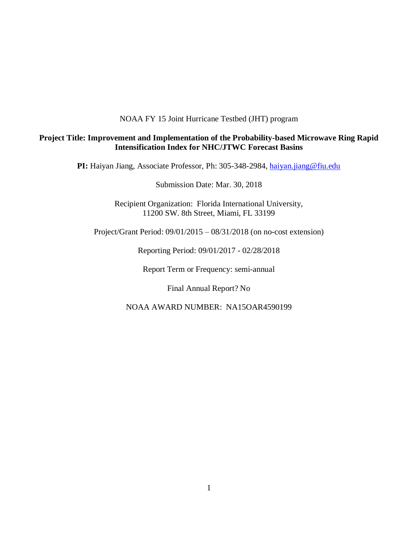## NOAA FY 15 Joint Hurricane Testbed (JHT) program

# **Project Title: Improvement and Implementation of the Probability-based Microwave Ring Rapid Intensification Index for NHC/JTWC Forecast Basins**

PI: Haiyan Jiang, Associate Professor, Ph: 305-348-2984, [haiyan.jiang@fiu.edu](mailto:h.jiang@utah.edu)

Submission Date: Mar. 30, 2018

Recipient Organization: Florida International University, 11200 SW. 8th Street, Miami, FL 33199

Project/Grant Period: 09/01/2015 – 08/31/2018 (on no-cost extension)

Reporting Period: 09/01/2017 - 02/28/2018

Report Term or Frequency: semi-annual

Final Annual Report? No

NOAA AWARD NUMBER: NA15OAR4590199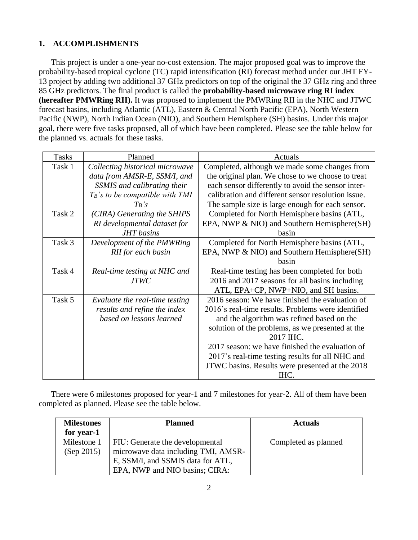# **1. ACCOMPLISHMENTS**

This project is under a one-year no-cost extension. The major proposed goal was to improve the probability-based tropical cyclone (TC) rapid intensification (RI) forecast method under our JHT FY-13 project by adding two additional 37 GHz predictors on top of the original the 37 GHz ring and three 85 GHz predictors. The final product is called the **probability-based microwave ring RI index (hereafter PMWRing RII).** It was proposed to implement the PMWRing RII in the NHC and JTWC forecast basins, including Atlantic (ATL), Eastern & Central North Pacific (EPA), North Western Pacific (NWP), North Indian Ocean (NIO), and Southern Hemisphere (SH) basins. Under this major goal, there were five tasks proposed, all of which have been completed. Please see the table below for the planned vs. actuals for these tasks.

| <b>Tasks</b> | Planned                            | Actuals                                            |
|--------------|------------------------------------|----------------------------------------------------|
| Task 1       | Collecting historical microwave    | Completed, although we made some changes from      |
|              | data from AMSR-E, SSM/I, and       | the original plan. We chose to we choose to treat  |
|              | SSMIS and calibrating their        | each sensor differently to avoid the sensor inter- |
|              | $T_B$ 's to be compatible with TMI | calibration and different sensor resolution issue. |
|              | $T_B$ 's                           | The sample size is large enough for each sensor.   |
| Task 2       | (CIRA) Generating the SHIPS        | Completed for North Hemisphere basins (ATL,        |
|              | RI developmental dataset for       | EPA, NWP & NIO) and Southern Hemisphere(SH)        |
|              | <b>JHT</b> basins                  | hasin                                              |
| Task 3       | Development of the PMWRing         | Completed for North Hemisphere basins (ATL,        |
|              | RII for each basin                 | EPA, NWP & NIO) and Southern Hemisphere(SH)        |
|              |                                    | basin                                              |
| Task 4       | Real-time testing at NHC and       | Real-time testing has been completed for both      |
|              | <b>JTWC</b>                        | 2016 and 2017 seasons for all basins including     |
|              |                                    | ATL, EPA+CP, NWP+NIO, and SH basins.               |
| Task 5       | Evaluate the real-time testing     | 2016 season: We have finished the evaluation of    |
|              | results and refine the index       | 2016's real-time results. Problems were identified |
|              | based on lessons learned           | and the algorithm was refined based on the         |
|              |                                    | solution of the problems, as we presented at the   |
|              |                                    | 2017 IHC.                                          |
|              |                                    | 2017 season: we have finished the evaluation of    |
|              |                                    | 2017's real-time testing results for all NHC and   |
|              |                                    | JTWC basins. Results were presented at the 2018    |
|              |                                    | IHC.                                               |

There were 6 milestones proposed for year-1 and 7 milestones for year-2. All of them have been completed as planned. Please see the table below.

| <b>Milestones</b><br>for year-1 | <b>Planned</b>                                                         | <b>Actuals</b>       |
|---------------------------------|------------------------------------------------------------------------|----------------------|
| Milestone 1<br>(Sep 2015)       | FIU: Generate the developmental<br>microwave data including TMI, AMSR- | Completed as planned |
|                                 | E, SSM/I, and SSMIS data for ATL,<br>EPA, NWP and NIO basins; CIRA:    |                      |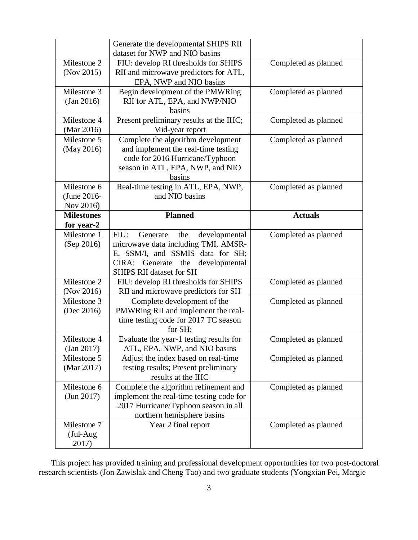|                   | Generate the developmental SHIPS RII<br>dataset for NWP and NIO basins |                      |
|-------------------|------------------------------------------------------------------------|----------------------|
| Milestone 2       | FIU: develop RI thresholds for SHIPS                                   | Completed as planned |
| (Nov 2015)        | RII and microwave predictors for ATL,                                  |                      |
|                   | EPA, NWP and NIO basins                                                |                      |
| Milestone 3       | Begin development of the PMWRing                                       | Completed as planned |
| (Jan 2016)        | RII for ATL, EPA, and NWP/NIO                                          |                      |
|                   | basins                                                                 |                      |
| Milestone 4       | Present preliminary results at the IHC;                                | Completed as planned |
| (Mar 2016)        | Mid-year report                                                        |                      |
| Milestone 5       | Complete the algorithm development                                     | Completed as planned |
| (May 2016)        | and implement the real-time testing                                    |                      |
|                   | code for 2016 Hurricane/Typhoon                                        |                      |
|                   | season in ATL, EPA, NWP, and NIO                                       |                      |
|                   | basins                                                                 |                      |
| Milestone 6       | Real-time testing in ATL, EPA, NWP,                                    | Completed as planned |
| (June 2016-       | and NIO basins                                                         |                      |
| Nov 2016)         |                                                                        |                      |
| <b>Milestones</b> | <b>Planned</b>                                                         | <b>Actuals</b>       |
| for year-2        |                                                                        |                      |
| Milestone 1       | FIU:<br>Generate<br>the<br>developmental                               | Completed as planned |
| (Sep 2016)        | microwave data including TMI, AMSR-                                    |                      |
|                   | E, SSM/I, and SSMIS data for SH;                                       |                      |
|                   | CIRA:<br>Generate<br>the<br>developmental                              |                      |
|                   | <b>SHIPS RII dataset for SH</b>                                        |                      |
| Milestone 2       | FIU: develop RI thresholds for SHIPS                                   | Completed as planned |
| (Nov 2016)        | RII and microwave predictors for SH                                    |                      |
| Milestone 3       | Complete development of the                                            | Completed as planned |
| (Dec 2016)        | PMWRing RII and implement the real-                                    |                      |
|                   | time testing code for 2017 TC season                                   |                      |
|                   | for SH;                                                                |                      |
| Milestone 4       | Evaluate the year-1 testing results for                                | Completed as planned |
| (Jan 2017)        | ATL, EPA, NWP, and NIO basins                                          |                      |
| Milestone 5       | Adjust the index based on real-time                                    | Completed as planned |
| (Mar 2017)        | testing results; Present preliminary                                   |                      |
|                   | results at the IHC<br>Complete the algorithm refinement and            |                      |
| Milestone 6       |                                                                        |                      |
| (Jun 2017)        |                                                                        | Completed as planned |
|                   | implement the real-time testing code for                               |                      |
|                   | 2017 Hurricane/Typhoon season in all                                   |                      |
|                   | northern hemisphere basins                                             |                      |
| Milestone 7       | Year 2 final report                                                    | Completed as planned |
| (Jul-Aug<br>2017) |                                                                        |                      |

This project has provided training and professional development opportunities for two post-doctoral research scientists (Jon Zawislak and Cheng Tao) and two graduate students (Yongxian Pei, Margie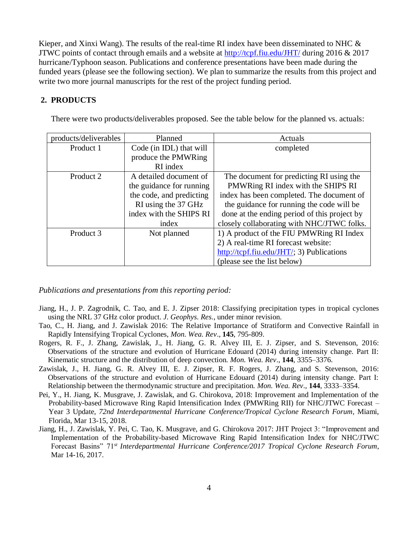Kieper, and Xinxi Wang). The results of the real-time RI index have been disseminated to NHC  $\&$ JTWC points of contact through emails and a website at<http://tcpf.fiu.edu/JHT/> during 2016 & 2017 hurricane/Typhoon season. Publications and conference presentations have been made during the funded years (please see the following section). We plan to summarize the results from this project and write two more journal manuscripts for the rest of the project funding period.

# **2. PRODUCTS**

There were two products/deliverables proposed. See the table below for the planned vs. actuals:

| products/deliverables | Planned                  | Actuals                                                                      |
|-----------------------|--------------------------|------------------------------------------------------------------------------|
| Product 1             | Code (in IDL) that will  | completed                                                                    |
|                       | produce the PMWRing      |                                                                              |
|                       | RI index                 |                                                                              |
| Product 2             | A detailed document of   | The document for predicting RI using the                                     |
|                       | the guidance for running | PMWRing RI index with the SHIPS RI                                           |
|                       | the code, and predicting | index has been completed. The document of                                    |
|                       | RI using the 37 GHz      | the guidance for running the code will be                                    |
|                       | index with the SHIPS RI  | done at the ending period of this project by                                 |
|                       | index                    | closely collaborating with NHC/JTWC folks.                                   |
| Product 3             | Not planned              | 1) A product of the FIU PMWRing RI Index                                     |
|                       |                          | 2) A real-time RI forecast website:                                          |
|                       |                          | $\frac{http://tcpf.fiu.edu/JHT/3)}{http://tcpf.fiu.edu/JHT/3)}$ Publications |
|                       |                          | (please see the list below)                                                  |

*Publications and presentations from this reporting period:*

- Jiang, H., J. P. Zagrodnik, C. Tao, and E. J. Zipser 2018: Classifying precipitation types in tropical cyclones using the NRL 37 GHz color product. *J. Geophys. Res.*, under minor revision.
- Tao, C., H. Jiang, and J. Zawislak 2016: The Relative Importance of Stratiform and Convective Rainfall in Rapidly Intensifying Tropical Cyclones, *Mon. Wea. Rev*., **145**, 795-809.
- Rogers, R. F., J. Zhang, Zawislak, J., H. Jiang, G. R. Alvey III, E. J. Zipser, and S. Stevenson, 2016: Observations of the structure and evolution of Hurricane Edouard (2014) during intensity change. Part II: Kinematic structure and the distribution of deep convection. *Mon. Wea. Rev*., **144**, 3355–3376.
- Zawislak, J., H. Jiang, G. R. Alvey III, E. J. Zipser, R. F. Rogers, J. Zhang, and S. Stevenson, 2016: Observations of the structure and evolution of Hurricane Edouard (2014) during intensity change. Part I: Relationship between the thermodynamic structure and precipitation. *Mon. Wea. Rev*., **144**, 3333–3354.
- Pei, Y., H. Jiang, K. Musgrave, J. Zawislak, and G. Chirokova, 2018: Improvement and Implementation of the Probability-based Microwave Ring Rapid Intensification Index (PMWRing RII) for NHC/JTWC Forecast – Year 3 Update, *72nd Interdepartmental Hurricane Conference/Tropical Cyclone Research Forum*, Miami, Florida, Mar 13-15, 2018.
- Jiang, H., J. Zawislak, Y. Pei, C. Tao, K. Musgrave, and G. Chirokova 2017: JHT Project 3: "Improvement and Implementation of the Probability-based Microwave Ring Rapid Intensification Index for NHC/JTWC Forecast Basins" 71*st Interdepartmental Hurricane Conference/2017 Tropical Cyclone Research Forum*, Mar 14-16, 2017.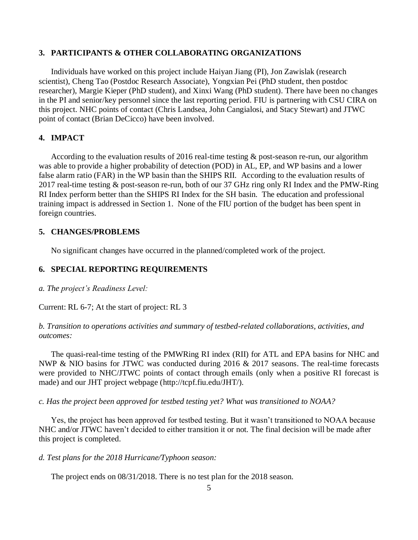#### **3. PARTICIPANTS & OTHER COLLABORATING ORGANIZATIONS**

Individuals have worked on this project include Haiyan Jiang (PI), Jon Zawislak (research scientist), Cheng Tao (Postdoc Research Associate), Yongxian Pei (PhD student, then postdoc researcher), Margie Kieper (PhD student), and Xinxi Wang (PhD student). There have been no changes in the PI and senior/key personnel since the last reporting period. FIU is partnering with CSU CIRA on this project. NHC points of contact (Chris Landsea, John Cangialosi, and Stacy Stewart) and JTWC point of contact (Brian DeCicco) have been involved.

## **4. IMPACT**

According to the evaluation results of 2016 real-time testing & post-season re-run, our algorithm was able to provide a higher probability of detection (POD) in AL, EP, and WP basins and a lower false alarm ratio (FAR) in the WP basin than the SHIPS RII. According to the evaluation results of 2017 real-time testing & post-season re-run, both of our 37 GHz ring only RI Index and the PMW-Ring RI Index perform better than the SHIPS RI Index for the SH basin. The education and professional training impact is addressed in Section 1. None of the FIU portion of the budget has been spent in foreign countries.

#### **5. CHANGES/PROBLEMS**

No significant changes have occurred in the planned/completed work of the project.

## **6. SPECIAL REPORTING REQUIREMENTS**

*a. The project's Readiness Level:*

Current: RL 6-7; At the start of project: RL 3

# *b. Transition to operations activities and summary of testbed-related collaborations, activities, and outcomes:*

The quasi-real-time testing of the PMWRing RI index (RII) for ATL and EPA basins for NHC and NWP & NIO basins for JTWC was conducted during 2016 & 2017 seasons. The real-time forecasts were provided to NHC/JTWC points of contact through emails (only when a positive RI forecast is made) and our JHT project webpage (http://tcpf.fiu.edu/JHT/).

*c. Has the project been approved for testbed testing yet? What was transitioned to NOAA?*

Yes, the project has been approved for testbed testing. But it wasn't transitioned to NOAA because NHC and/or JTWC haven't decided to either transition it or not. The final decision will be made after this project is completed.

#### *d. Test plans for the 2018 Hurricane/Typhoon season:*

The project ends on 08/31/2018. There is no test plan for the 2018 season.